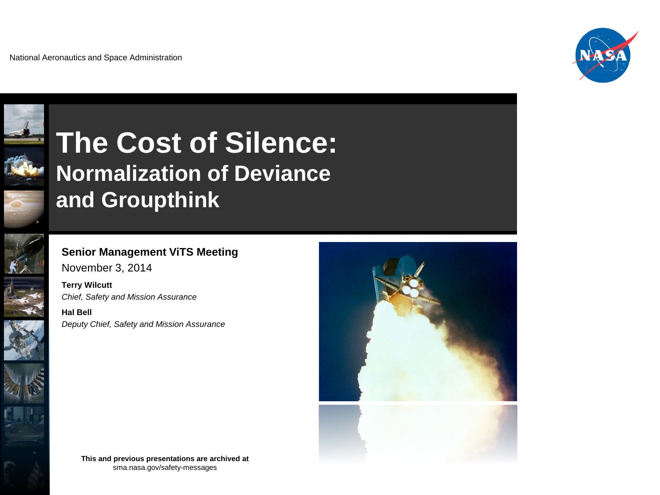



## **The Cost of Silence: Normalization of Deviance and Groupthink**



#### **Senior Management ViTS Meeting**

November 3, 2014

**Terry Wilcutt** *Chief, Safety and Mission Assurance*

**Hal Bell** *Deputy Chief, Safety and Mission Assurance*



**This and previous presentations are archived at** [sma.nasa.gov/safety-messages](https://sma.nasa.gov/safety-messages)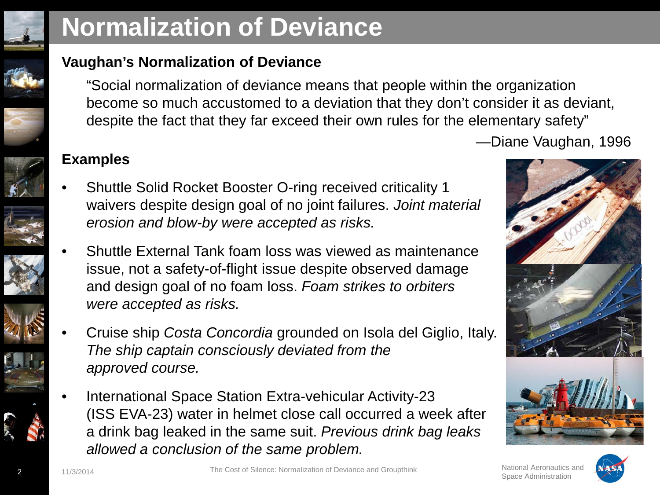## **Normalization of Deviance**

**Vaughan's Normalization of Deviance**





### **Examples**

• Shuttle Solid Rocket Booster O-ring received criticality 1 waivers despite design goal of no joint failures. *Joint material erosion and blow-by were accepted as risks.*

"Social normalization of deviance means that people within the organization

despite the fact that they far exceed their own rules for the elementary safety"

become so much accustomed to a deviation that they don't consider it as deviant,

- Shuttle External Tank foam loss was viewed as maintenance issue, not a safety-of-flight issue despite observed damage and design goal of no foam loss. *Foam strikes to orbiters were accepted as risks.*
- • Cruise ship *Costa Concordia* grounded on Isola del Giglio, Italy. *The ship captain consciously deviated from the approved course.*
- • International Space Station Extra-vehicular Activity-23 (ISS EVA-23) water in helmet close call occurred a week after a drink bag leaked in the same suit. *Previous drink bag leaks allowed a conclusion of the same problem.*

—Diane Vaughan, 1996





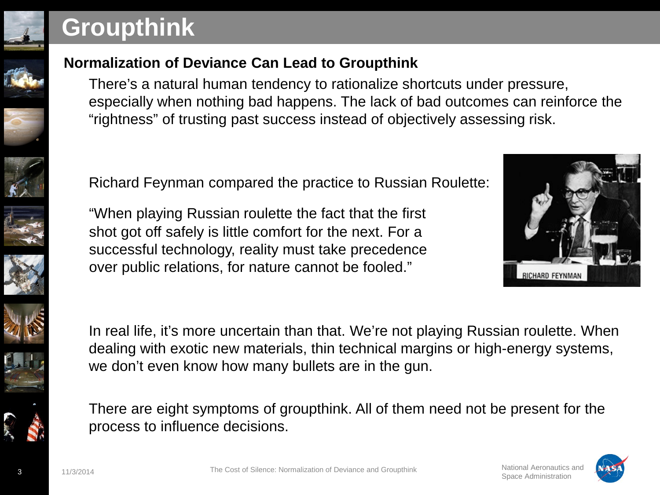## **Groupthink**

















#### **Normalization of Deviance Can Lead to Groupthink**

Richard Feynman compared the practice to Russian Roulette:

"When playing Russian roulette the fact that the first

shot got off safely is little comfort for the next. For a successful technology, reality must take precedence

over public relations, for nature cannot be fooled."

There's a natural human tendency to rationalize shortcuts under pressure, especially when nothing bad happens. The lack of bad outcomes can reinforce the "rightness" of trusting past success instead of objectively assessing risk.

In real life, it's more uncertain than that. We're not playing Russian roulette. When dealing with exotic new materials, thin technical margins or high-energy systems, we don't even know how many bullets are in the gun.

There are eight symptoms of groupthink. All of them need not be present for the process to influence decisions.



Space Administration

**RICHARD FEYNMAN**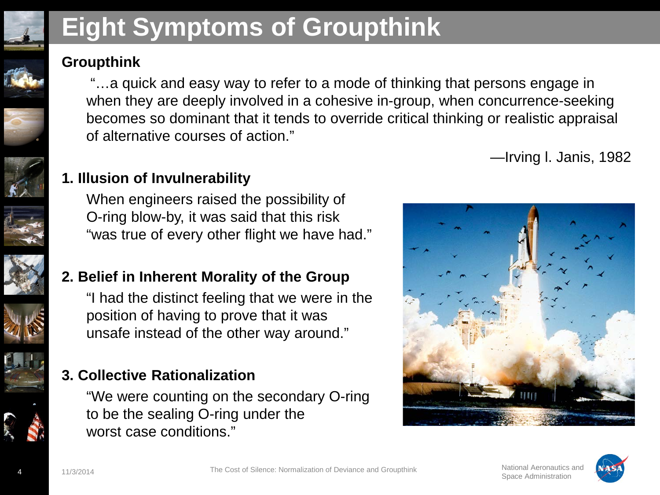

# **Eight Symptoms of Groupthink**

#### **Groupthink**

"…a quick and easy way to refer to a mode of thinking that persons engage in when they are deeply involved in a cohesive in-group, when concurrence-seeking becomes so dominant that it tends to override critical thinking or realistic appraisal of alternative courses of action."

—Irving l. Janis, 1982



#### **1. Illusion of Invulnerability**

When engineers raised the possibility of O-ring blow-by, it was said that this risk "was true of every other flight we have had."



#### **2. Belief in Inherent Morality of the Group**

"I had the distinct feeling that we were in the position of having to prove that it was unsafe instead of the other way around."

#### **3. Collective Rationalization**

"We were counting on the secondary O-ring to be the sealing O-ring under the worst case conditions."





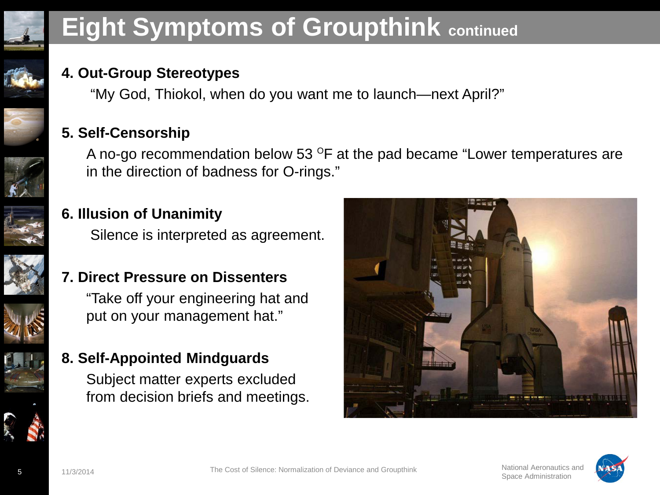

# **Eight Symptoms of Groupthink continued**

#### **4. Out-Group Stereotypes**

"My God, Thiokol, when do you want me to launch—next April?"

#### **5. Self-Censorship**

A no-go recommendation below 53  $\mathrm{^{\circ}F}$  at the pad became "Lower temperatures are in the direction of badness for O-rings."



#### **6. Illusion of Unanimity**

Silence is interpreted as agreement.



#### **7. Direct Pressure on Dissenters**

"Take off your engineering hat and put on your management hat."



Subject matter experts excluded from decision briefs and meetings.





Space Administration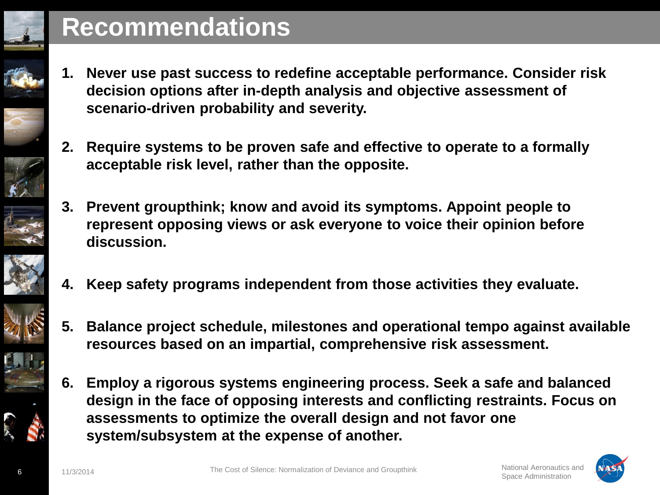

## **Recommendations**

- 
- 
- 
- 







- **1. Never use past success to redefine acceptable performance. Consider risk decision options after in-depth analysis and objective assessment of scenario-driven probability and severity.**
- **2. Require systems to be proven safe and effective to operate to a formally acceptable risk level, rather than the opposite.**
- **3. Prevent groupthink; know and avoid its symptoms. Appoint people to represent opposing views or ask everyone to voice their opinion before discussion.**
- **4. Keep safety programs independent from those activities they evaluate.**
- **5. Balance project schedule, milestones and operational tempo against available resources based on an impartial, comprehensive risk assessment.**
- **6. Employ a rigorous systems engineering process. Seek a safe and balanced design in the face of opposing interests and conflicting restraints. Focus on assessments to optimize the overall design and not favor one system/subsystem at the expense of another.**



Space Administration